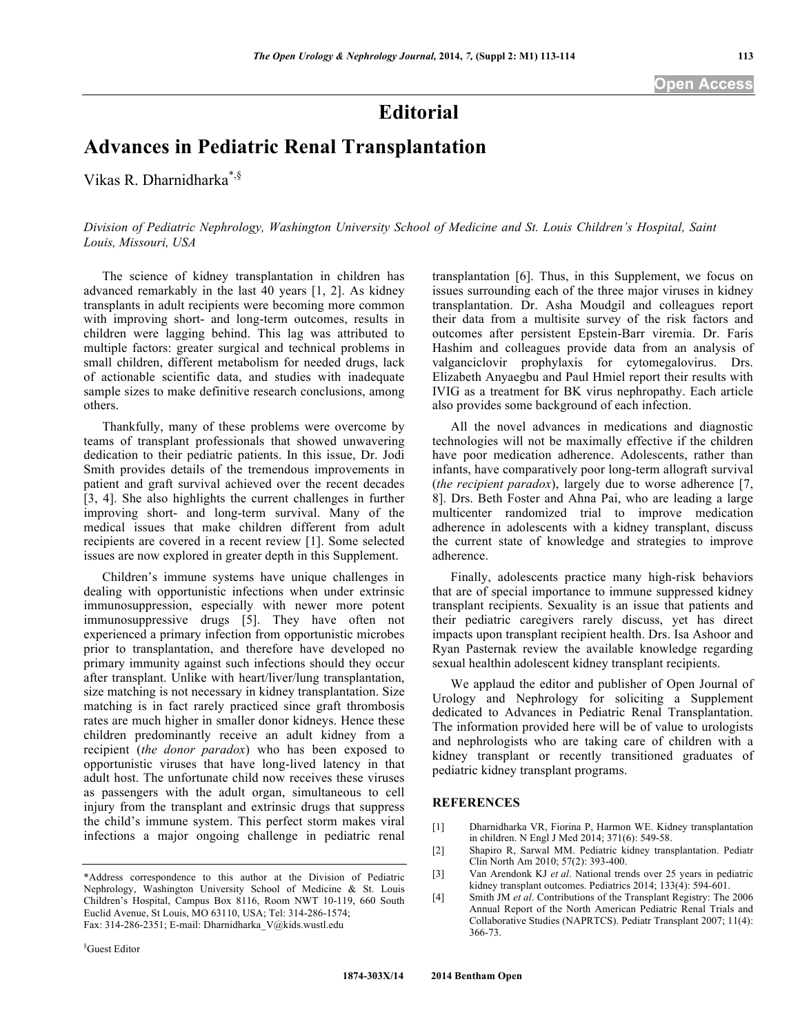## **Editorial**

## **Advances in Pediatric Renal Transplantation**

Vikas R. Dharnidharka\*,§

*Division of Pediatric Nephrology, Washington University School of Medicine and St. Louis Children's Hospital, Saint Louis, Missouri, USA*

The science of kidney transplantation in children has advanced remarkably in the last 40 years [1, 2]. As kidney transplants in adult recipients were becoming more common with improving short- and long-term outcomes, results in children were lagging behind. This lag was attributed to multiple factors: greater surgical and technical problems in small children, different metabolism for needed drugs, lack of actionable scientific data, and studies with inadequate sample sizes to make definitive research conclusions, among others.

Thankfully, many of these problems were overcome by teams of transplant professionals that showed unwavering dedication to their pediatric patients. In this issue, Dr. Jodi Smith provides details of the tremendous improvements in patient and graft survival achieved over the recent decades [3, 4]. She also highlights the current challenges in further improving short- and long-term survival. Many of the medical issues that make children different from adult recipients are covered in a recent review [1]. Some selected issues are now explored in greater depth in this Supplement.

Children's immune systems have unique challenges in dealing with opportunistic infections when under extrinsic immunosuppression, especially with newer more potent immunosuppressive drugs [5]. They have often not experienced a primary infection from opportunistic microbes prior to transplantation, and therefore have developed no primary immunity against such infections should they occur after transplant. Unlike with heart/liver/lung transplantation, size matching is not necessary in kidney transplantation. Size matching is in fact rarely practiced since graft thrombosis rates are much higher in smaller donor kidneys. Hence these children predominantly receive an adult kidney from a recipient (*the donor paradox*) who has been exposed to opportunistic viruses that have long-lived latency in that adult host. The unfortunate child now receives these viruses as passengers with the adult organ, simultaneous to cell injury from the transplant and extrinsic drugs that suppress the child's immune system. This perfect storm makes viral infections a major ongoing challenge in pediatric renal

transplantation [6]. Thus, in this Supplement, we focus on issues surrounding each of the three major viruses in kidney transplantation. Dr. Asha Moudgil and colleagues report their data from a multisite survey of the risk factors and outcomes after persistent Epstein-Barr viremia. Dr. Faris Hashim and colleagues provide data from an analysis of valganciclovir prophylaxis for cytomegalovirus. Drs. Elizabeth Anyaegbu and Paul Hmiel report their results with IVIG as a treatment for BK virus nephropathy. Each article also provides some background of each infection.

All the novel advances in medications and diagnostic technologies will not be maximally effective if the children have poor medication adherence. Adolescents, rather than infants, have comparatively poor long-term allograft survival (*the recipient paradox*), largely due to worse adherence [7, 8]. Drs. Beth Foster and Ahna Pai, who are leading a large multicenter randomized trial to improve medication adherence in adolescents with a kidney transplant, discuss the current state of knowledge and strategies to improve adherence.

Finally, adolescents practice many high-risk behaviors that are of special importance to immune suppressed kidney transplant recipients. Sexuality is an issue that patients and their pediatric caregivers rarely discuss, yet has direct impacts upon transplant recipient health. Drs. Isa Ashoor and Ryan Pasternak review the available knowledge regarding sexual healthin adolescent kidney transplant recipients.

We applaud the editor and publisher of Open Journal of Urology and Nephrology for soliciting a Supplement dedicated to Advances in Pediatric Renal Transplantation. The information provided here will be of value to urologists and nephrologists who are taking care of children with a kidney transplant or recently transitioned graduates of pediatric kidney transplant programs.

## **REFERENCES**

- [1] Dharnidharka VR, Fiorina P, Harmon WE. Kidney transplantation in children. N Engl J Med 2014; 371(6): 549-58.
- [2] Shapiro R, Sarwal MM. Pediatric kidney transplantation. Pediatr Clin North Am 2010; 57(2): 393-400.
- [3] Van Arendonk KJ *et al*. National trends over 25 years in pediatric kidney transplant outcomes. Pediatrics 2014; 133(4): 594-601.
- [4] Smith JM *et al*. Contributions of the Transplant Registry: The 2006 Annual Report of the North American Pediatric Renal Trials and Collaborative Studies (NAPRTCS). Pediatr Transplant 2007; 11(4): 366-73.

<sup>\*</sup>Address correspondence to this author at the Division of Pediatric Nephrology, Washington University School of Medicine & St. Louis Children's Hospital, Campus Box 8116, Room NWT 10-119, 660 South Euclid Avenue, St Louis, MO 63110, USA; Tel: 314-286-1574; Fax: 314-286-2351; E-mail: Dharnidharka\_V@kids.wustl.edu